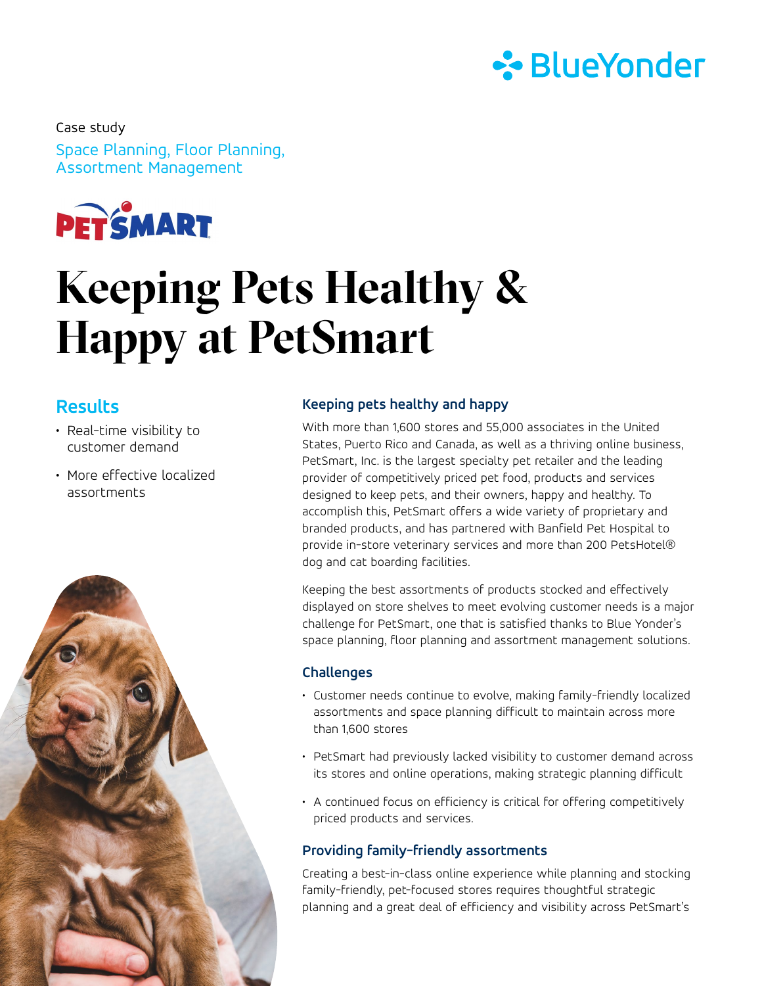

Space Planning, Floor Planning, Assortment Management Case study



# **Keeping Pets Healthy & Happy at PetSmart**

# **Results**

- Real-time visibility to customer demand
- More effective localized assortments



# **Keeping pets healthy and happy**

With more than 1,600 stores and 55,000 associates in the United States, Puerto Rico and Canada, as well as a thriving online business, PetSmart, Inc. is the largest specialty pet retailer and the leading provider of competitively priced pet food, products and services designed to keep pets, and their owners, happy and healthy. To accomplish this, PetSmart offers a wide variety of proprietary and branded products, and has partnered with Banfield Pet Hospital to provide in-store veterinary services and more than 200 PetsHotel® dog and cat boarding facilities.

Keeping the best assortments of products stocked and effectively displayed on store shelves to meet evolving customer needs is a major challenge for PetSmart, one that is satisfied thanks to Blue Yonder's space planning, floor planning and assortment management solutions.

# **Challenges**

- Customer needs continue to evolve, making family-friendly localized assortments and space planning difficult to maintain across more than 1,600 stores
- PetSmart had previously lacked visibility to customer demand across its stores and online operations, making strategic planning difficult
- A continued focus on efficiency is critical for offering competitively priced products and services.

# **Providing family-friendly assortments**

Creating a best-in-class online experience while planning and stocking family-friendly, pet-focused stores requires thoughtful strategic planning and a great deal of efficiency and visibility across PetSmart's